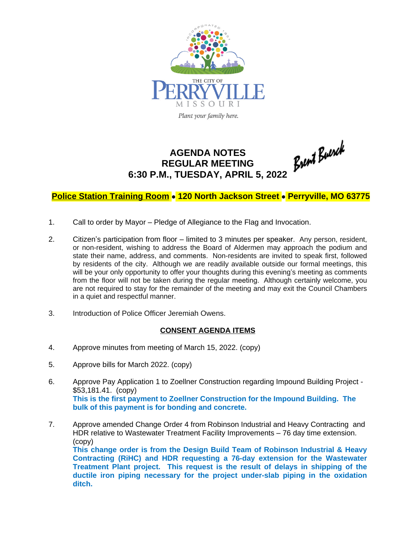

## **AGENDA NOTES REGULAR MEETING 6:30 P.M., TUESDAY, APRIL 5, 2022**

## **Police Station Training Room** · **120 North Jackson Street** · **Perryville, MO 63775**

- 1. Call to order by Mayor Pledge of Allegiance to the Flag and Invocation.
- 2. Citizen's participation from floor limited to 3 minutes per speaker. Any person, resident, or non-resident, wishing to address the Board of Aldermen may approach the podium and state their name, address, and comments. Non-residents are invited to speak first, followed by residents of the city. Although we are readily available outside our formal meetings, this will be your only opportunity to offer your thoughts during this evening's meeting as comments from the floor will not be taken during the regular meeting. Although certainly welcome, you are not required to stay for the remainder of the meeting and may exit the Council Chambers in a quiet and respectful manner.
- 3. Introduction of Police Officer Jeremiah Owens.

## **CONSENT AGENDA ITEMS**

- 4. Approve minutes from meeting of March 15, 2022. (copy)
- 5. Approve bills for March 2022. (copy)
- 6. Approve Pay Application 1 to Zoellner Construction regarding Impound Building Project \$53,181.41. (copy) **This is the first payment to Zoellner Construction for the Impound Building. The bulk of this payment is for bonding and concrete.**
- 7. Approve amended Change Order 4 from Robinson Industrial and Heavy Contracting and HDR relative to Wastewater Treatment Facility Improvements – 76 day time extension. (copy) **This change order is from the Design Build Team of Robinson Industrial & Heavy**

**Contracting (RiHC) and HDR requesting a 76-day extension for the Wastewater Treatment Plant project. This request is the result of delays in shipping of the ductile iron piping necessary for the project under-slab piping in the oxidation ditch.**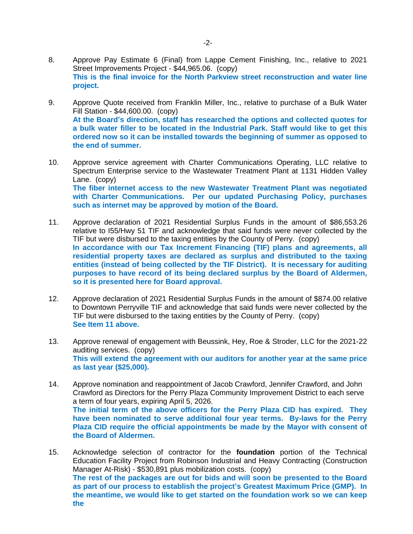- 8. Approve Pay Estimate 6 (Final) from Lappe Cement Finishing, Inc., relative to 2021 Street Improvements Project - \$44,965.06. (copy) **This is the final invoice for the North Parkview street reconstruction and water line project.**
- 9. Approve Quote received from Franklin Miller, Inc., relative to purchase of a Bulk Water Fill Station - \$44,600.00. (copy) **At the Board's direction, staff has researched the options and collected quotes for a bulk water filler to be located in the Industrial Park. Staff would like to get this ordered now so it can be installed towards the beginning of summer as opposed to the end of summer.**
- 10. Approve service agreement with Charter Communications Operating, LLC relative to Spectrum Enterprise service to the Wastewater Treatment Plant at 1131 Hidden Valley Lane. (copy) **The fiber internet access to the new Wastewater Treatment Plant was negotiated with Charter Communications. Per our updated Purchasing Policy, purchases such as internet may be approved by motion of the Board.**
- 11. Approve declaration of 2021 Residential Surplus Funds in the amount of \$86,553.26 relative to I55/Hwy 51 TIF and acknowledge that said funds were never collected by the TIF but were disbursed to the taxing entities by the County of Perry. (copy) **In accordance with our Tax Increment Financing (TIF) plans and agreements, all residential property taxes are declared as surplus and distributed to the taxing entities (instead of being collected by the TIF District). It is necessary for auditing purposes to have record of its being declared surplus by the Board of Aldermen, so it is presented here for Board approval.**
- 12. Approve declaration of 2021 Residential Surplus Funds in the amount of \$874.00 relative to Downtown Perryville TIF and acknowledge that said funds were never collected by the TIF but were disbursed to the taxing entities by the County of Perry. (copy) **See Item 11 above.**
- 13. Approve renewal of engagement with Beussink, Hey, Roe & Stroder, LLC for the 2021-22 auditing services. (copy) **This will extend the agreement with our auditors for another year at the same price as last year (\$25,000).**
- 14. Approve nomination and reappointment of Jacob Crawford, Jennifer Crawford, and John Crawford as Directors for the Perry Plaza Community Improvement District to each serve a term of four years, expiring April 5, 2026. **The initial term of the above officers for the Perry Plaza CID has expired. They have been nominated to serve additional four year terms. By-laws for the Perry Plaza CID require the official appointments be made by the Mayor with consent of the Board of Aldermen.**
- 15. Acknowledge selection of contractor for the **foundation** portion of the Technical Education Facility Project from Robinson Industrial and Heavy Contracting (Construction Manager At-Risk) - \$530,891 plus mobilization costs. (copy) **The rest of the packages are out for bids and will soon be presented to the Board as part of our process to establish the project's Greatest Maximum Price (GMP). In the meantime, we would like to get started on the foundation work so we can keep the**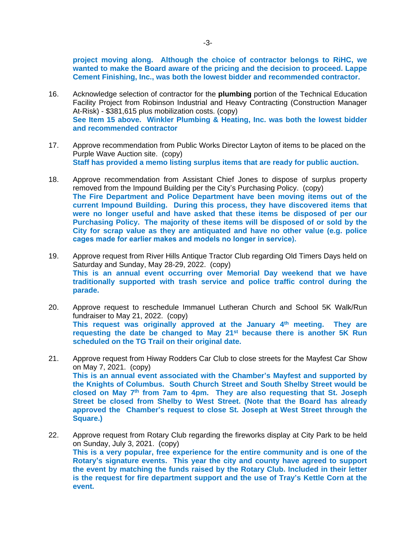**project moving along. Although the choice of contractor belongs to RiHC, we wanted to make the Board aware of the pricing and the decision to proceed. Lappe Cement Finishing, Inc., was both the lowest bidder and recommended contractor.**

- 16. Acknowledge selection of contractor for the **plumbing** portion of the Technical Education Facility Project from Robinson Industrial and Heavy Contracting (Construction Manager At-Risk) - \$381,615 plus mobilization costs. (copy) **See Item 15 above. Winkler Plumbing & Heating, Inc. was both the lowest bidder and recommended contractor**
- 17. Approve recommendation from Public Works Director Layton of items to be placed on the Purple Wave Auction site. (copy) **Staff has provided a memo listing surplus items that are ready for public auction.**
- 18. Approve recommendation from Assistant Chief Jones to dispose of surplus property removed from the Impound Building per the City's Purchasing Policy. (copy) **The Fire Department and Police Department have been moving items out of the current Impound Building. During this process, they have discovered items that were no longer useful and have asked that these items be disposed of per our Purchasing Policy. The majority of these items will be disposed of or sold by the City for scrap value as they are antiquated and have no other value (e.g. police cages made for earlier makes and models no longer in service).**
- 19. Approve request from River Hills Antique Tractor Club regarding Old Timers Days held on Saturday and Sunday, May 28-29, 2022. (copy) **This is an annual event occurring over Memorial Day weekend that we have traditionally supported with trash service and police traffic control during the parade.**
- 20. Approve request to reschedule Immanuel Lutheran Church and School 5K Walk/Run fundraiser to May 21, 2022. (copy) **This request was originally approved at the January 4 th meeting. They are requesting the date be changed to May 21st because there is another 5K Run scheduled on the TG Trail on their original date.**
- 21. Approve request from Hiway Rodders Car Club to close streets for the Mayfest Car Show on May 7, 2021. (copy) **This is an annual event associated with the Chamber's Mayfest and supported by the Knights of Columbus. South Church Street and South Shelby Street would be closed on May 7 th from 7am to 4pm. They are also requesting that St. Joseph Street be closed from Shelby to West Street. (Note that the Board has already approved the Chamber's request to close St. Joseph at West Street through the Square.)**
- 22. Approve request from Rotary Club regarding the fireworks display at City Park to be held on Sunday, July 3, 2021. (copy) **This is a very popular, free experience for the entire community and is one of the Rotary's signature events. This year the city and county have agreed to support the event by matching the funds raised by the Rotary Club. Included in their letter is the request for fire department support and the use of Tray's Kettle Corn at the event.**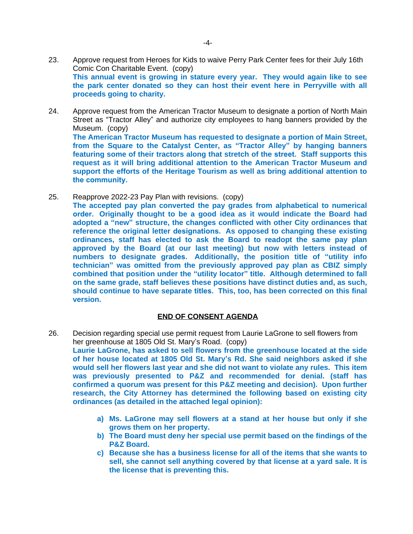- 23. Approve request from Heroes for Kids to waive Perry Park Center fees for their July 16th Comic Con Charitable Event. (copy) **This annual event is growing in stature every year. They would again like to see the park center donated so they can host their event here in Perryville with all proceeds going to charity.**
- 24. Approve request from the American Tractor Museum to designate a portion of North Main Street as "Tractor Alley" and authorize city employees to hang banners provided by the Museum. (copy) **The American Tractor Museum has requested to designate a portion of Main Street, from the Square to the Catalyst Center, as "Tractor Alley" by hanging banners featuring some of their tractors along that stretch of the street. Staff supports this request as it will bring additional attention to the American Tractor Museum and support the efforts of the Heritage Tourism as well as bring additional attention to the community.**
- 25. Reapprove 2022-23 Pay Plan with revisions. (copy) **The accepted pay plan converted the pay grades from alphabetical to numerical order. Originally thought to be a good idea as it would indicate the Board had adopted a "new" structure, the changes conflicted with other City ordinances that reference the original letter designations. As opposed to changing these existing ordinances, staff has elected to ask the Board to readopt the same pay plan approved by the Board (at our last meeting) but now with letters instead of numbers to designate grades. Additionally, the position title of "utility info technician" was omitted from the previously approved pay plan as CBIZ simply combined that position under the "utility locator" title. Although determined to fall on the same grade, staff believes these positions have distinct duties and, as such, should continue to have separate titles. This, too, has been corrected on this final version.**

## **END OF CONSENT AGENDA**

- 26. Decision regarding special use permit request from Laurie LaGrone to sell flowers from her greenhouse at 1805 Old St. Mary's Road. (copy) **Laurie LaGrone, has asked to sell flowers from the greenhouse located at the side of her house located at 1805 Old St. Mary's Rd. She said neighbors asked if she would sell her flowers last year and she did not want to violate any rules. This item was previously presented to P&Z and recommended for denial. (staff has confirmed a quorum was present for this P&Z meeting and decision). Upon further research, the City Attorney has determined the following based on existing city ordinances (as detailed in the attached legal opinion):**
	- **a) Ms. LaGrone may sell flowers at a stand at her house but only if she grows them on her property.**
	- **b) The Board must deny her special use permit based on the findings of the P&Z Board.**
	- **c) Because she has a business license for all of the items that she wants to sell, she cannot sell anything covered by that license at a yard sale. It is the license that is preventing this.**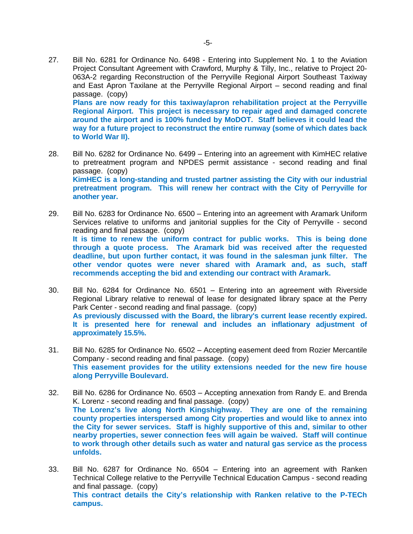27. Bill No. 6281 for Ordinance No. 6498 - Entering into Supplement No. 1 to the Aviation Project Consultant Agreement with Crawford, Murphy & Tilly, Inc., relative to Project 20- 063A-2 regarding Reconstruction of the Perryville Regional Airport Southeast Taxiway and East Apron Taxilane at the Perryville Regional Airport – second reading and final passage. (copy) **Plans are now ready for this taxiway/apron rehabilitation project at the Perryville Regional Airport. This project is necessary to repair aged and damaged concrete around the airport and is 100% funded by MoDOT. Staff believes it could lead the**

**way for a future project to reconstruct the entire runway (some of which dates back**

28. Bill No. 6282 for Ordinance No. 6499 – Entering into an agreement with KimHEC relative to pretreatment program and NPDES permit assistance - second reading and final passage. (copy) **KimHEC is a long-standing and trusted partner assisting the City with our industrial pretreatment program. This will renew her contract with the City of Perryville for another year.**

**to World War II).** 

- 29. Bill No. 6283 for Ordinance No. 6500 Entering into an agreement with Aramark Uniform Services relative to uniforms and janitorial supplies for the City of Perryville - second reading and final passage. (copy) **It is time to renew the uniform contract for public works. This is being done through a quote process. The Aramark bid was received after the requested deadline, but upon further contact, it was found in the salesman junk filter. The other vendor quotes were never shared with Aramark and, as such, staff recommends accepting the bid and extending our contract with Aramark.**
- 30. Bill No. 6284 for Ordinance No. 6501 Entering into an agreement with Riverside Regional Library relative to renewal of lease for designated library space at the Perry Park Center - second reading and final passage. (copy) **As previously discussed with the Board, the library's current lease recently expired. It is presented here for renewal and includes an inflationary adjustment of approximately 15.5%.**
- 31. Bill No. 6285 for Ordinance No. 6502 Accepting easement deed from Rozier Mercantile Company - second reading and final passage. (copy) **This easement provides for the utility extensions needed for the new fire house along Perryville Boulevard.**
- 32. Bill No. 6286 for Ordinance No. 6503 Accepting annexation from Randy E. and Brenda K. Lorenz - second reading and final passage. (copy) **The Lorenz's live along North Kingshighway. They are one of the remaining county properties interspersed among City properties and would like to annex into the City for sewer services. Staff is highly supportive of this and, similar to other nearby properties, sewer connection fees will again be waived. Staff will continue to work through other details such as water and natural gas service as the process unfolds.**
- 33. Bill No. 6287 for Ordinance No. 6504 Entering into an agreement with Ranken Technical College relative to the Perryville Technical Education Campus - second reading and final passage. (copy) **This contract details the City's relationship with Ranken relative to the P-TECh campus.**